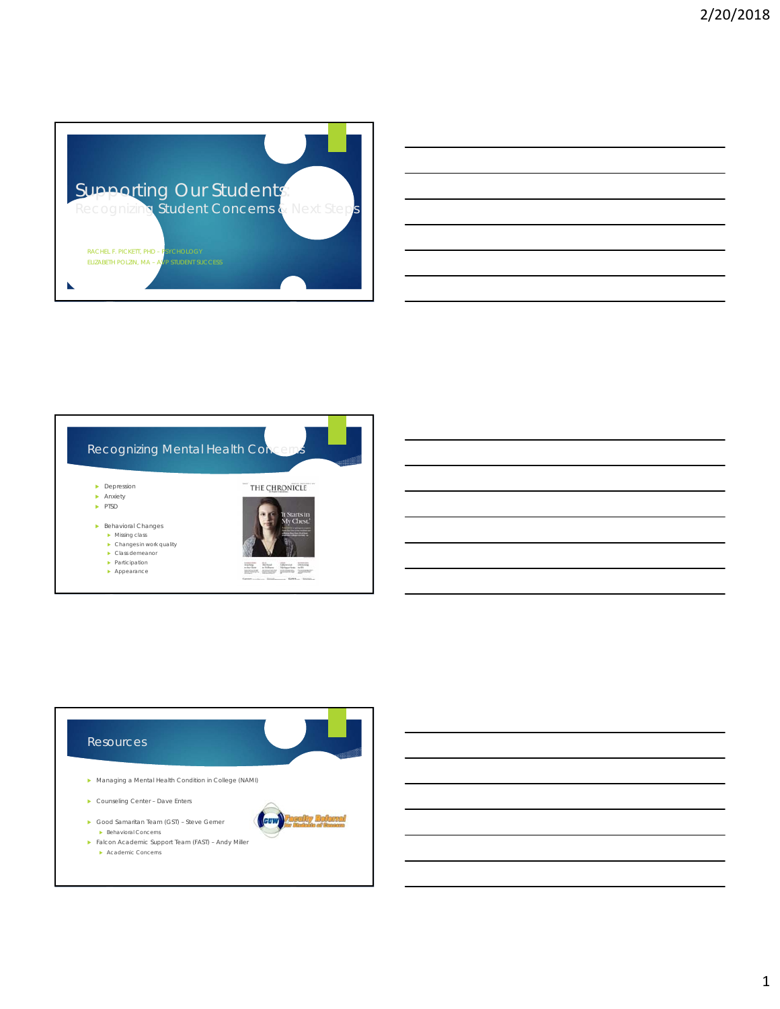

| <u> 1989 - Johann Harry Harry Harry Harry Harry Harry Harry Harry Harry Harry Harry Harry Harry Harry Harry Harry</u>                                                                                                         |  |                                        |
|-------------------------------------------------------------------------------------------------------------------------------------------------------------------------------------------------------------------------------|--|----------------------------------------|
| <u> 2000 - Andrea Andrew Maria (h. 1888).</u>                                                                                                                                                                                 |  |                                        |
| <u> 1989 - Johann Barbara, martxa alemaniar argamento este alemaniar alemaniar alemaniar alemaniar alemaniar al</u>                                                                                                           |  |                                        |
|                                                                                                                                                                                                                               |  | the control of the control of the con- |
| <u> 2000 - Andrea Andrew Maria (h. 1888).</u>                                                                                                                                                                                 |  |                                        |
| the control of the control of the control of the control of the control of the control of the control of the control of the control of the control of the control of the control of the control of the control of the control |  |                                        |



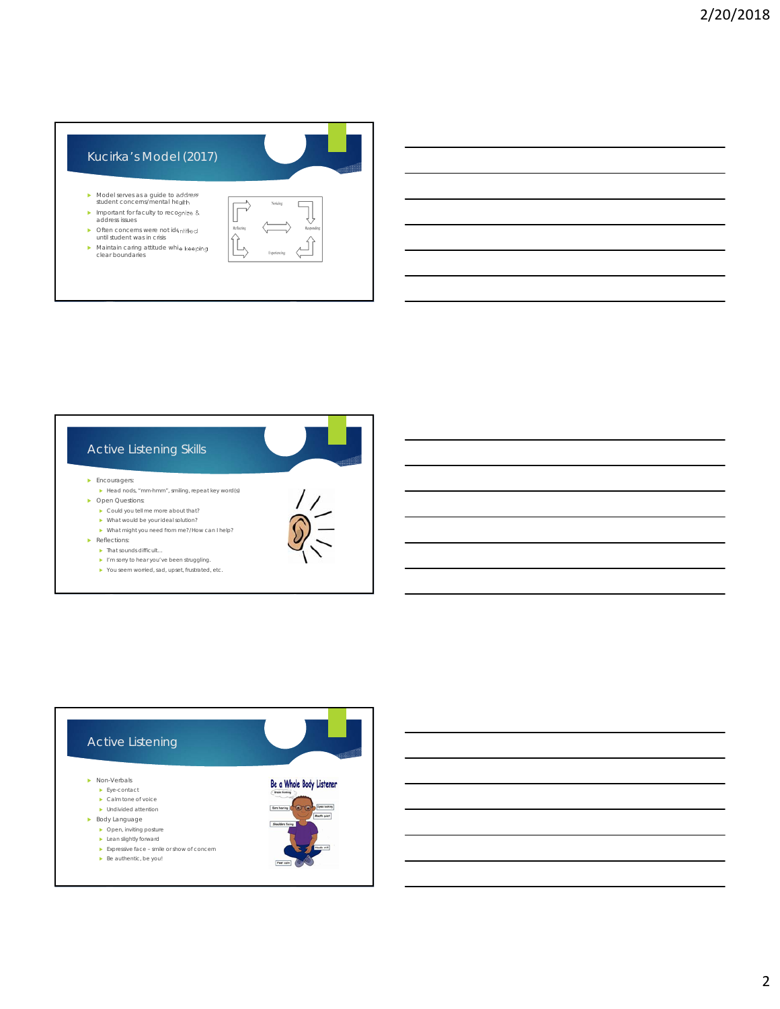





2